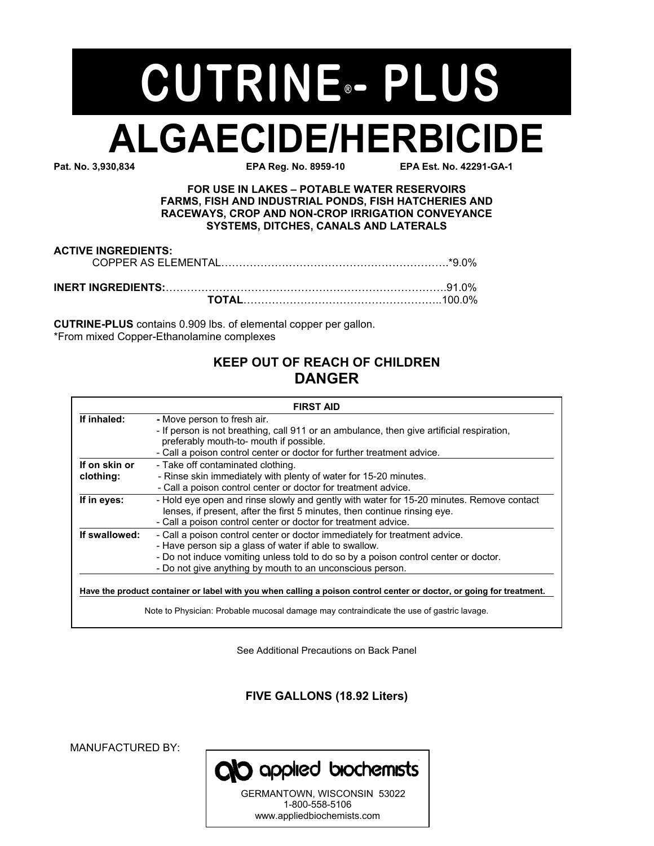# **ALGAECIDE/HERBICIDE**<br>EPA Req. No. 3.930.834 **CUTRINE - PLUS**

**EPA Reg. No. 8959-10** 

**FOR USE IN LAKES - POTABLE WATER RESERVOIRS FARMS, FISH AND INDUSTRIAL PONDS, FISH HATCHERIES AND RACEWAYS, CROP AND NON-CROP IRRIGATION CONVEYANCE SYSTEMS, DITCHES, CANALS AND LATERALS** 

| <b>ACTIVE INGREDIENTS:</b> |  |
|----------------------------|--|
|                            |  |
|                            |  |

**CUTRINE-PLUS** contains 0.909 lbs. of elemental copper per gallon. \*From mixed Copper-Ethanolamine complexes

# **KEEP OUT OF REACH OF CHILDREN DANGER**

|                            | <b>FIRST AID</b>                                                                                                                                                                                                                                                                         |
|----------------------------|------------------------------------------------------------------------------------------------------------------------------------------------------------------------------------------------------------------------------------------------------------------------------------------|
| If inhaled:                | - Move person to fresh air.<br>- If person is not breathing, call 911 or an ambulance, then give artificial respiration,<br>preferably mouth-to- mouth if possible.<br>- Call a poison control center or doctor for further treatment advice.                                            |
| If on skin or<br>clothing: | - Take off contaminated clothing.<br>- Rinse skin immediately with plenty of water for 15-20 minutes.<br>- Call a poison control center or doctor for treatment advice.                                                                                                                  |
| If in eyes:                | - Hold eye open and rinse slowly and gently with water for 15-20 minutes. Remove contact<br>lenses, if present, after the first 5 minutes, then continue rinsing eye.<br>- Call a poison control center or doctor for treatment advice.                                                  |
| If swallowed:              | - Call a poison control center or doctor immediately for treatment advice.<br>- Have person sip a glass of water if able to swallow.<br>- Do not induce vomiting unless told to do so by a poison control center or doctor.<br>- Do not give anything by mouth to an unconscious person. |
|                            | Have the product container or label with you when calling a poison control center or doctor, or going for treatment.<br>Note to Physician: Probable mucosal damage may contraindicate the use of gastric lavage.                                                                         |

See Additional Precautions on Back Panel

**FIVE GALLONS (18.92 Liters)**

MANUFACTURED BY:



1-800-558-5106 www.appliedbiochemists.com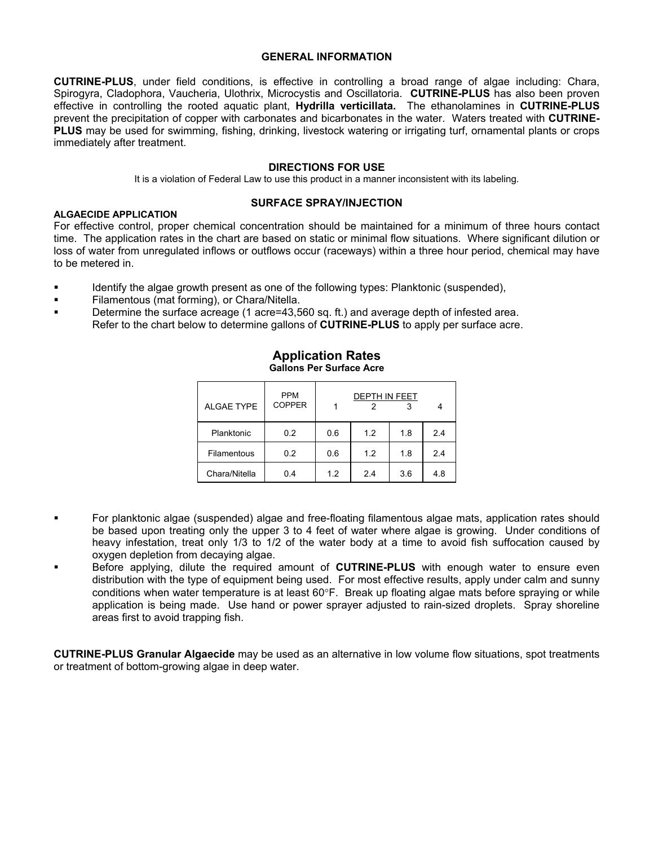#### **GENERAL INFORMATION**

**CUTRINE-PLUS**, under field conditions, is effective in controlling a broad range of algae including: Chara, Spirogyra, Cladophora, Vaucheria, Ulothrix, Microcystis and Oscillatoria. **CUTRINE-PLUS** has also been proven effective in controlling the rooted aquatic plant, **Hydrilla verticillata.** The ethanolamines in **CUTRINE-PLUS** prevent the precipitation of copper with carbonates and bicarbonates in the water. Waters treated with **CUTRINE-PLUS** may be used for swimming, fishing, drinking, livestock watering or irrigating turf, ornamental plants or crops immediately after treatment.

#### **DIRECTIONS FOR USE**

It is a violation of Federal Law to use this product in a manner inconsistent with its labeling.

## **SURFACE SPRAY/INJECTION**

For effective control, proper chemical concentration should be maintained for a minimum of three hours contact time. The application rates in the chart are based on static or minimal flow situations. Where significant dilution or loss of water from unregulated inflows or outflows occur (raceways) within a three hour period, chemical may have to be metered in.

- Identify the algae growth present as one of the following types: Planktonic (suspended),
- ! Filamentous (mat forming), or Chara/Nitella.

**ALGAECIDE APPLICATION** 

Determine the surface acreage (1 acre=43,560 sq. ft.) and average depth of infested area. Refer to the chart below to determine gallons of **CUTRINE-PLUS** to apply per surface acre.

| <b>ALGAE TYPE</b> | <b>PPM</b><br><b>COPPER</b> | <b>DEPTH IN FEET</b> |     |     |     |
|-------------------|-----------------------------|----------------------|-----|-----|-----|
| Planktonic        | 0.2                         | 0.6                  | 1.2 | 1.8 | 2.4 |
| Filamentous       | 0.2                         | 0.6                  | 1.2 | 1.8 | 2.4 |
| Chara/Nitella     | 0.4                         | 1.2                  | 2.4 | 3.6 | 4.8 |

#### **Application Rates Gallons Per Surface Acre**

#### ! For planktonic algae (suspended) algae and free-floating filamentous algae mats, application rates should be based upon treating only the upper 3 to 4 feet of water where algae is growing. Under conditions of heavy infestation, treat only 1/3 to 1/2 of the water body at a time to avoid fish suffocation caused by oxygen depletion from decaying algae.

! Before applying, dilute the required amount of **CUTRINE-PLUS** with enough water to ensure even distribution with the type of equipment being used. For most effective results, apply under calm and sunny conditions when water temperature is at least 60°F. Break up floating algae mats before spraying or while application is being made. Use hand or power sprayer adjusted to rain-sized droplets. Spray shoreline areas first to avoid trapping fish.

**CUTRINE-PLUS Granular Algaecide** may be used as an alternative in low volume flow situations, spot treatments or treatment of bottom-growing algae in deep water.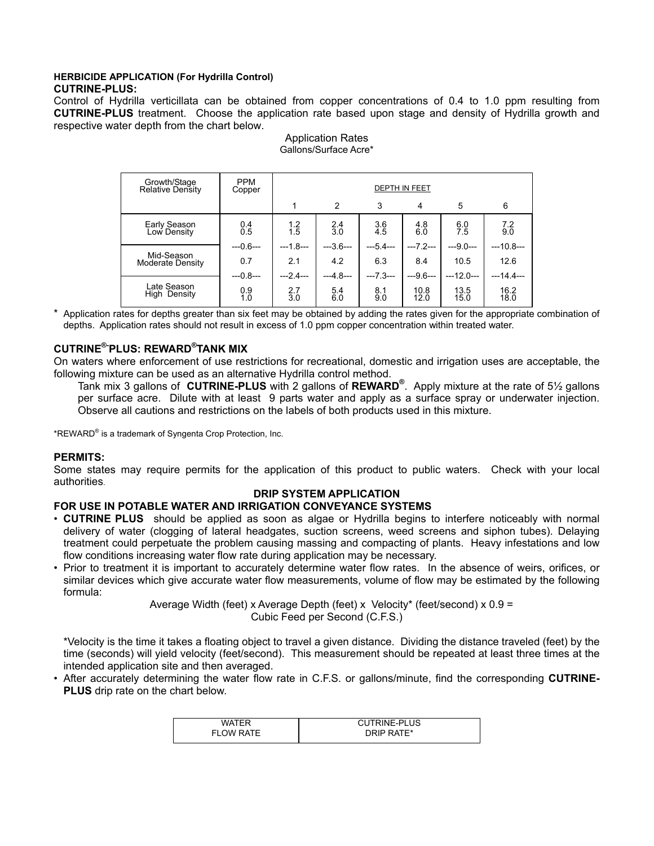#### **HERBICIDE APPLICATION (For Hydrilla Control) CUTRINE-PLUS:**

Control of Hydrilla verticillata can be obtained from copper concentrations of 0.4 to 1.0 ppm resulting from **CUTRINE-PLUS** treatment. Choose the application rate based upon stage and density of Hydrilla growth and respective water depth from the chart below.

| Growth/Stage<br><b>Relative Density</b> | <b>PPM</b><br>Copper | <b>DEPTH IN FEET</b>                      |                   |                |                |              |              |
|-----------------------------------------|----------------------|-------------------------------------------|-------------------|----------------|----------------|--------------|--------------|
|                                         |                      |                                           | $\overline{2}$    | 3              | 4              | 5            | 6            |
| Early Season<br>Low Density             | $0.4 \ 0.5$          | $\begin{array}{c} 1.2 \\ 1.5 \end{array}$ | $\frac{2.4}{3.0}$ | $3.6$<br>$4.5$ | $^{4.8}_{6.0}$ | $6.0$<br>7.5 | $7.2$<br>9.0 |
|                                         | $--0.6--$            | $--1.8--$                                 | $-3.6-$           | $-5.4-$        | $-7.2-$        | $--9.0--$    | $-10.8 - -$  |
| Mid-Season<br>Moderate Density          | 0.7                  | 2.1                                       | 4.2               | 6.3            | 8.4            | 10.5         | 12.6         |
| Late Season<br>High Density             | $--0.8--$            | $-2.4-$                                   | $-4.8-$           | $-7.3-$        | $-9.6-$        | $--12.0--$   | $-14.4-$     |
|                                         | 0.9<br>1.0           | 2.7<br>3.0                                | 5.4<br>6.0        | 8.1<br>9.0     | 10.8<br>12.0   | 13.5<br>15.0 | 16.2<br>18.0 |

Application Rates Gallons/Surface Acre\*

Application rates for depths greater than six feet may be obtained by adding the rates given for the appropriate combination of depths. Application rates should not result in excess of 1.0 ppm copper concentration within treated water.

## $\mathsf{CUTRINE}^{\circledast}\mathsf{PLUS}\colon \mathsf{REWARD}^{\circledast}\mathsf{TANK}\ \mathsf{MIX}$

On waters where enforcement of use restrictions for recreational, domestic and irrigation uses are acceptable, the following mixture can be used as an alternative Hydrilla control method.

Tank mix 3 gallons of **CUTRINE-PLUS** with 2 gallons of **REWARD**<sup>®</sup>. Apply mixture at the rate of 5½ gallons per surface acre. Dilute with at least 9 parts water and apply as a surface spray or underwater injection. Observe all cautions and restrictions on the labels of both products used in this mixture.

\*REWARD $^{\circ}$  is a trademark of Syngenta Crop Protection, Inc.

#### **PERMITS:**

Some states may require permits for the application of this product to public waters. Check with your local authorities.

## **DRIP SYSTEM APPLICATION**

## **FOR USE IN POTABLE WATER AND IRRIGATION CONVEYANCE SYSTEMS**

- ï **CUTRINE PLUS** should be applied as soon as algae or Hydrilla begins to interfere noticeably with normal delivery of water (clogging of lateral headgates, suction screens, weed screens and siphon tubes). Delaying treatment could perpetuate the problem causing massing and compacting of plants. Heavy infestations and low flow conditions increasing water flow rate during application may be necessary.
- Prior to treatment it is important to accurately determine water flow rates. In the absence of weirs, orifices, or similar devices which give accurate water flow measurements, volume of flow may be estimated by the following formula:

Average Width (feet) x Average Depth (feet) x Velocity\* (feet/second) x 0.9 = Cubic Feed per Second (C.F.S.)

\*Velocity is the time it takes a floating object to travel a given distance. Dividing the distance traveled (feet) by the time (seconds) will yield velocity (feet/second). This measurement should be repeated at least three times at the intended application site and then averaged.

ï After accurately determining the water flow rate in C.F.S. or gallons/minute, find the corresponding **CUTRINE-PLUS** drip rate on the chart below.

| <b>WATFR</b>     | <b>CUTRINE-PLUS</b> |
|------------------|---------------------|
| <b>FLOW RATE</b> | DRIP RATE*          |